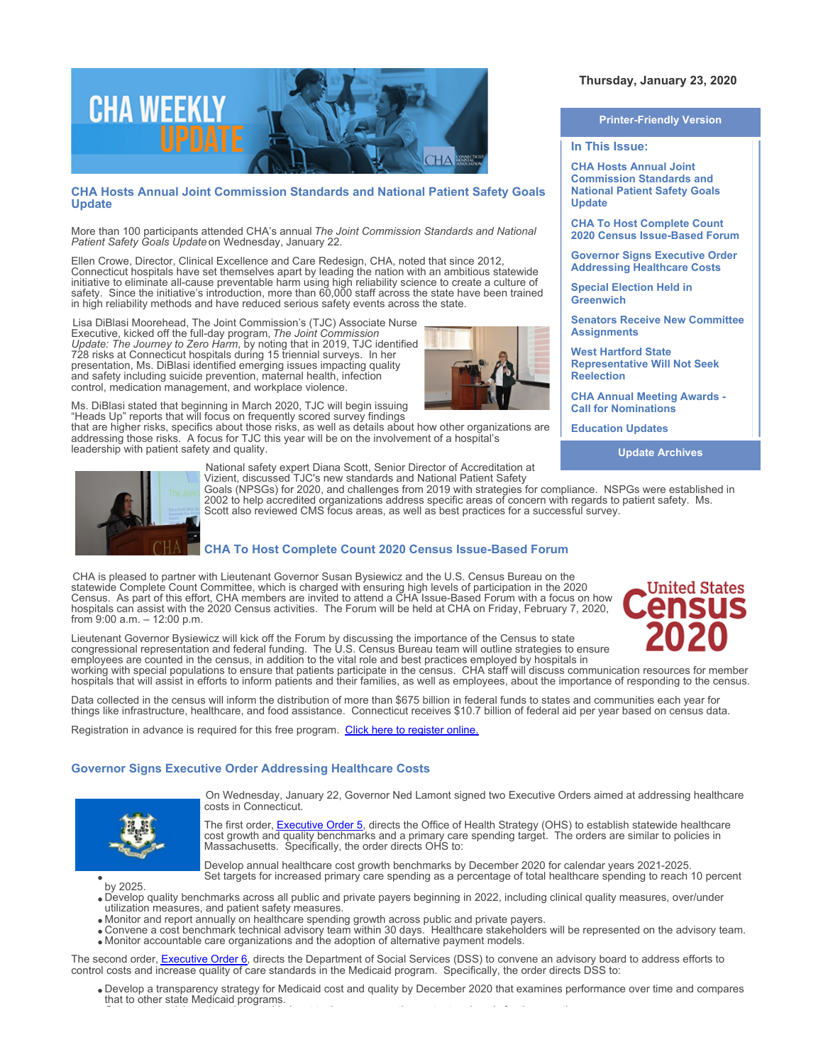

## **CHA Hosts Annual Joint Commission Standards and National Patient Safety Goals Update**

More than 100 participants attended CHA's annual *The Joint Commission Standards and National Patient Safety Goals Update* on Wednesday, January 22.

Ellen Crowe, Director, Clinical Excellence and Care Redesign, CHA, noted that since 2012, Connecticut hospitals have set themselves apart by leading the nation with an ambitious statewide initiative to eliminate all-cause preventable harm using high reliability science to create a culture of safety. Since the initiative's introduction, more than 60,000 staff across the state have been trained in high reliability methods and have reduced serious safety events across the state.

Lisa DiBlasi Moorehead, The Joint Commission's (TJC) Associate Nurse Executive, kicked off the full-day program, *The Joint Commission Update: The Journey to Zero Harm*, by noting that in 2019, TJC identified 728 risks at Connecticut hospitals during 15 triennial surveys. In her presentation, Ms. DiBlasi identified emerging issues impacting quality and safety including suicide prevention, maternal health, infection control, medication management, and workplace violence.



Ms. DiBlasi stated that beginning in March 2020, TJC will begin issuing "Heads Up" reports that will focus on frequently scored survey findings

that are higher risks, specifics about those risks, as well as details about how other organizations are addressing those risks. A focus for TJC this year will be on the involvement of a hospital's leadership with patient safety and quality.

# **Thursday, January 23, 2020**

#### **Printer-Friendly Version**

#### **In This Issue:**

**CHA Hosts Annual Joint Commission Standards and National Patient Safety Goals Update** 

**CHA To Host Complete Count 2020 Census Issue-Based Forum** 

**Governor Signs Executive Order Addressing Healthcare Costs** 

**Special Election Held in Greenwich** 

**Senators Receive New Committee Assignments** 

**West Hartford State Representative Will Not Seek Reelection** 

**CHA Annual Meeting Awards - Call for Nominations**

**Education Updates** 

**Update Archives**



National safety expert Diana Scott, Senior Director of Accreditation at Vizient, discussed TJC's new standards and National Patient Safety

Goals (NPSGs) for 2020, and challenges from 2019 with strategies for compliance. NSPGs were established in 2002 to help accredited organizations address specific areas of concern with regards to patient safety. Ms. Scott also reviewed CMS focus areas, as well as best practices for a successful survey.

## **CHA To Host Complete Count 2020 Census Issue-Based Forum**

CHA is pleased to partner with Lieutenant Governor Susan Bysiewicz and the U.S. Census Bureau on the statewide Complete Count Committee, which is charged with ensuring high levels of participation in the 2020 Census. As part of this effort, CHA members are invited to attend a CHA Issue-Based Forum with a focus on how hospitals can assist with the 2020 Census activities. The Forum will be held at CHA on Friday, February 7, 2020, from 9:00 a.m. – 12:00 p.m.

**United States** 

Lieutenant Governor Bysiewicz will kick off the Forum by discussing the importance of the Census to state congressional representation and federal funding. The U.S. Census Bureau team will outline strategies to ensure employees are counted in the census, in addition to the vital role and best practices employed by hospitals in

working with special populations to ensure that patients participate in the census. CHA staff will discuss communication resources for member hospitals that will assist in efforts to inform patients and their families, as well as employees, about the importance of responding to the census.

Data collected in the census will inform the distribution of more than \$675 billion in federal funds to states and communities each year for things like infrastructure, healthcare, and food assistance. Connecticut receives \$10.7 billion of federal aid per year based on census data.

Registration in advance is required for this free program. [Click here to register online.](https://www.cthosp.org/eventcalendar/index.cfm?action=register&id=854&date=43868)

### **Governor Signs Executive Order Addressing Healthcare Costs**



On Wednesday, January 22, Governor Ned Lamont signed two Executive Orders aimed at addressing healthcare costs in Connecticut.

The first order, [Executive Order 5](https://officeofthegovernor.cmail19.com/t/j-l-chiilit-tllukttuhk-b/), directs the Office of Health Strategy (OHS) to establish statewide healthcare cost growth and quality benchmarks and a primary care spending target. The orders are similar to policies in Massachusetts. Specifically, the order directs OHS to:



Develop annual healthcare cost growth benchmarks by December 2020 for calendar years 2021-2025. Set targets for increased primary care spending as a percentage of total healthcare spending to reach 10 percent

- Develop quality benchmarks across all public and private payers beginning in 2022, including clinical quality measures, over/under utilization measures, and patient safety measures.
- Monitor and report annually on healthcare spending growth across public and private payers.
- Convene a cost benchmark technical advisory team within 30 days. Healthcare stakeholders will be represented on the advisory team. Monitor accountable care organizations and the adoption of alternative payment models.

The second order, [Executive Order 6](https://officeofthegovernor.cmail19.com/t/j-l-chiilit-tllukttuhk-f/), directs the Department of Social Services (DSS) to convene an advisory board to address efforts to control costs and increase quality of care standards in the Medicaid program. Specifically, the order directs DSS to:

Develop a transparency strategy for Medicaid cost and quality by December 2020 that examines performance over time and compares that to other state Medicaid programs. Convene an advisory board to provide input to the agency on the content and goals for the reporting.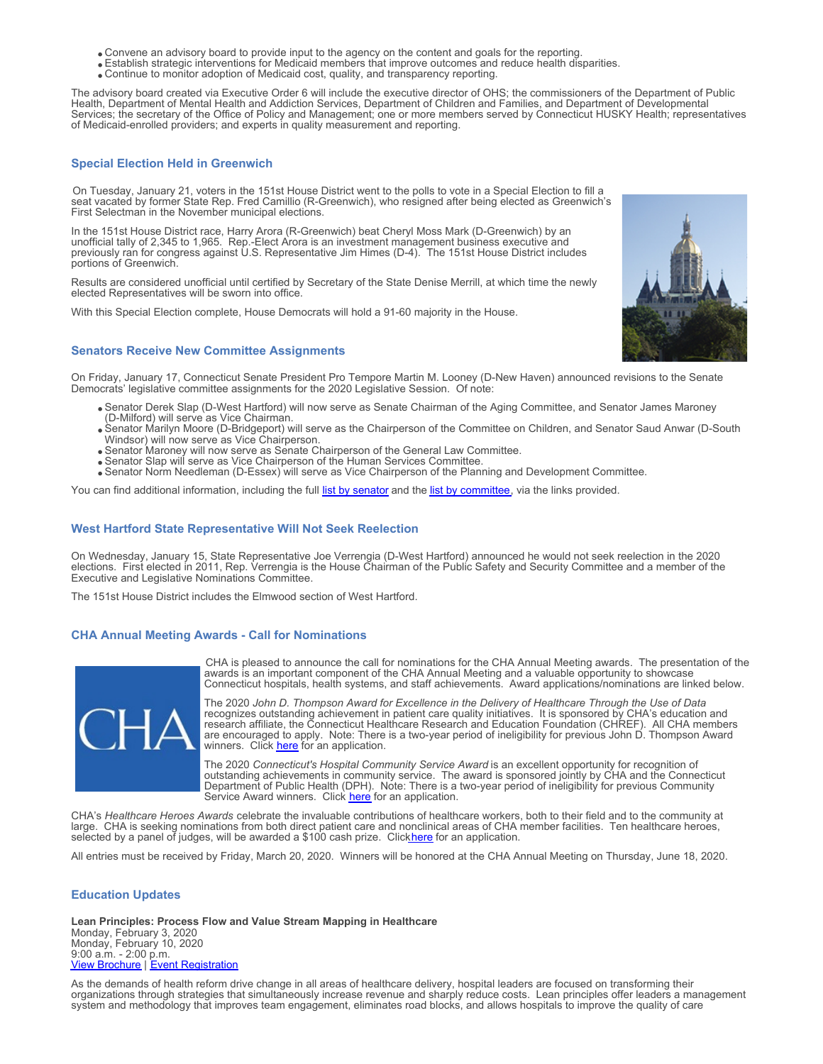- Convene an advisory board to provide input to the agency on the content and goals for the reporting.
- Establish strategic interventions for Medicaid members that improve outcomes and reduce health disparities.
- Continue to monitor adoption of Medicaid cost, quality, and transparency reporting.

The advisory board created via Executive Order 6 will include the executive director of OHS; the commissioners of the Department of Public Health, Department of Mental Health and Addiction Services, Department of Children and Families, and Department of Developmental Services; the secretary of the Office of Policy and Management; one or more members served by Connecticut HUSKY Health; representatives of Medicaid-enrolled providers; and experts in quality measurement and reporting.

#### **Special Election Held in Greenwich**

On Tuesday, January 21, voters in the 151st House District went to the polls to vote in a Special Election to fill a seat vacated by former State Rep. Fred Camillio (R-Greenwich), who resigned after being elected as Greenwich's First Selectman in the November municipal elections.

In the 151st House District race, Harry Arora (R-Greenwich) beat Cheryl Moss Mark (D-Greenwich) by an unofficial tally of 2,345 to 1,965. Rep.-Elect Arora is an investment management business executive and previously ran for congress against U.S. Representative Jim Himes (D-4). The 151st House District includes portions of Greenwich.

Results are considered unofficial until certified by Secretary of the State Denise Merrill, at which time the newly elected Representatives will be sworn into office.

With this Special Election complete, House Democrats will hold a 91-60 majority in the House.

### **Senators Receive New Committee Assignments**

On Friday, January 17, Connecticut Senate President Pro Tempore Martin M. Looney (D-New Haven) announced revisions to the Senate Democrats' legislative committee assignments for the 2020 Legislative Session. Of note:

- Senator Derek Slap (D-West Hartford) will now serve as Senate Chairman of the Aging Committee, and Senator James Maroney (D-Milford) will serve as Vice Chairman.
- Senator Marilyn Moore (D-Bridgeport) will serve as the Chairperson of the Committee on Children, and Senator Saud Anwar (D-South Windsor) will now serve as Vice Chairperson.
- Senator Maroney will now serve as Senate Chairperson of the General Law Committee.
- Senator Slap will serve as Vice Chairperson of the Human Services Committee.
- Senator Norm Needleman (D-Essex) will serve as Vice Chairperson of the Planning and Development Committee.

You can find additional information, including the full [list by senator](http://senatedems.ct.gov/images/SD-20-Asignments-by-Senator.pdf) and the [list by committee](http://senatedems.ct.gov/images/SD-20-Assignments-by-Committee.pdf), via the links provided.

#### **West Hartford State Representative Will Not Seek Reelection**

On Wednesday, January 15, State Representative Joe Verrengia (D-West Hartford) announced he would not seek reelection in the 2020 elections. First elected in 2011, Rep. Verrengia is the House Chairman of the Public Safety and Security Committee and a member of the Executive and Legislative Nominations Committee.

The 151st House District includes the Elmwood section of West Hartford.

### **CHA Annual Meeting Awards - Call for Nominations**



CHA is pleased to announce the call for nominations for the CHA Annual Meeting awards. The presentation of the awards is an important component of the CHA Annual Meeting and a valuable opportunity to showcase Connecticut hospitals, health systems, and staff achievements. Award applications/nominations are linked below.

The 2020 *John D. Thompson Award for Excellence in the Delivery of Healthcare Through the Use of Data* recognizes outstanding achievement in patient care quality initiatives. It is sponsored by CHA's education and research affiliate, the Connecticut Healthcare Research and Education Foundation (CHREF). All CHA members are encouraged to apply. Note: There is a two-year period of ineligibility for previous John D. Thompson Award winners. Click [here](http://documents.cthosp.org/9/2020%20John%20D.%20Thompson%20Award%20Brochure.docx) for an application.

The 2020 *Connecticut's Hospital Community Service Award* is an excellent opportunity for recognition of outstanding achievements in community service. The award is sponsored jointly by CHA and the Connecticut Department of Public Health (DPH). Note: There is a two-year period of ineligibility for previous Community Service Award winners. Click [here](http://documents.cthosp.org/9/2020%20Community%20Svc%20Brochure.docx) for an application.

CHA's *Healthcare Heroes Awards* celebrate the invaluable contributions of healthcare workers, both to their field and to the community at large. CHA is seeking nominations from both direct patient care and nonclinical areas of CHA member facilities. Ten healthcare heroes, selected by a panel of judges, will be awarded a \$100 cash prize. Clickhere for an application.

All entries must be received by Friday, March 20, 2020. Winners will be honored at the CHA Annual Meeting on Thursday, June 18, 2020.

## **Education Updates**

**Lean Principles: Process Flow and Value Stream Mapping in Healthcare** Monday, February 3, 2020 Monday, February 10, 2020 9:00 a.m. - 2:00 p.m. [View Brochure](https://cthosp.org/eventcalendar/uploads/Lean%20Principles%20brochure-Feb2020.pdf) | [Event Registration](https://cthosp.org/eventcalendar/index.cfm?action=register&date=43864&id=840)

As the demands of health reform drive change in all areas of healthcare delivery, hospital leaders are focused on transforming their organizations through strategies that simultaneously increase revenue and sharply reduce costs. Lean principles offer leaders a management system and methodology that improves team engagement, eliminates road blocks, and allows hospitals to improve the quality of care